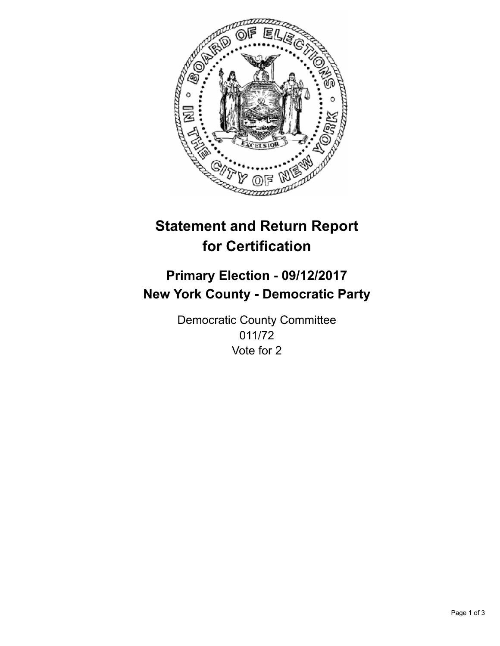

## **Statement and Return Report for Certification**

## **Primary Election - 09/12/2017 New York County - Democratic Party**

Democratic County Committee 011/72 Vote for 2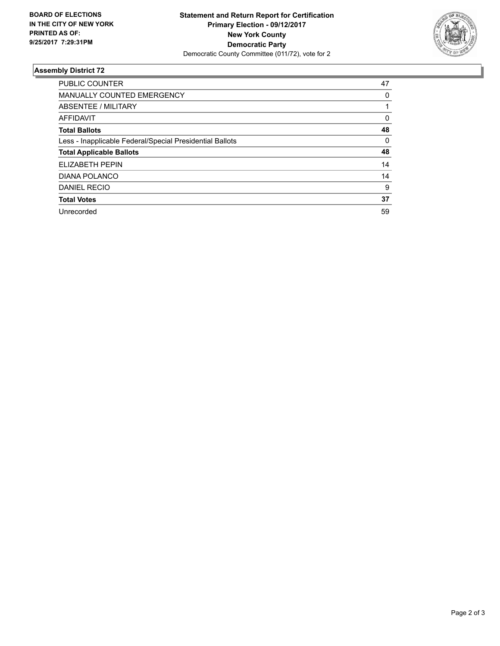

## **Assembly District 72**

| <b>PUBLIC COUNTER</b>                                    | 47 |
|----------------------------------------------------------|----|
| <b>MANUALLY COUNTED EMERGENCY</b>                        | 0  |
| <b>ABSENTEE / MILITARY</b>                               |    |
| <b>AFFIDAVIT</b>                                         | 0  |
| <b>Total Ballots</b>                                     | 48 |
| Less - Inapplicable Federal/Special Presidential Ballots | 0  |
| <b>Total Applicable Ballots</b>                          | 48 |
| ELIZABETH PEPIN                                          | 14 |
| <b>DIANA POLANCO</b>                                     | 14 |
| <b>DANIEL RECIO</b>                                      | 9  |
| <b>Total Votes</b>                                       | 37 |
| Unrecorded                                               | 59 |